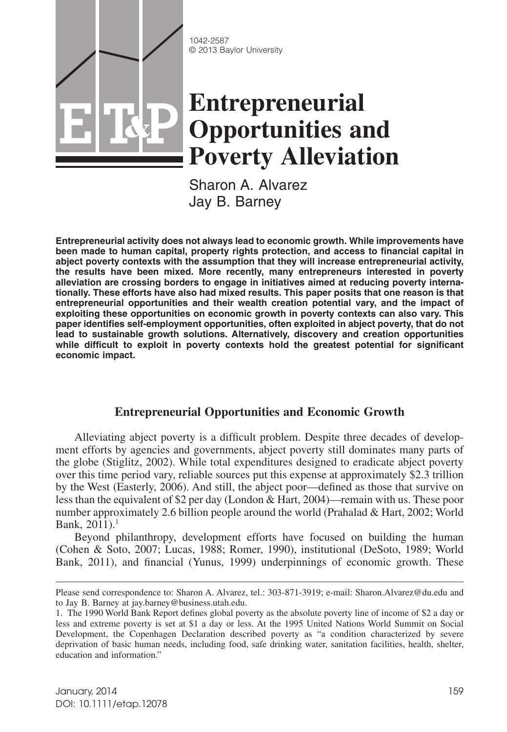

Sharon A. Alvarez Jay B. Barney

**Entrepreneurial activity does not always lead to economic growth. While improvements have been made to human capital, property rights protection, and access to financial capital in abject poverty contexts with the assumption that they will increase entrepreneurial activity, the results have been mixed. More recently, many entrepreneurs interested in poverty alleviation are crossing borders to engage in initiatives aimed at reducing poverty internationally. These efforts have also had mixed results. This paper posits that one reason is that entrepreneurial opportunities and their wealth creation potential vary, and the impact of exploiting these opportunities on economic growth in poverty contexts can also vary. This paper identifies self-employment opportunities, often exploited in abject poverty, that do not lead to sustainable growth solutions. Alternatively, discovery and creation opportunities while difficult to exploit in poverty contexts hold the greatest potential for significant economic impact.**

# **Entrepreneurial Opportunities and Economic Growth**

Alleviating abject poverty is a difficult problem. Despite three decades of development efforts by agencies and governments, abject poverty still dominates many parts of the globe (Stiglitz, 2002). While total expenditures designed to eradicate abject poverty over this time period vary, reliable sources put this expense at approximately \$2.3 trillion by the West (Easterly, 2006). And still, the abject poor—defined as those that survive on less than the equivalent of \$2 per day (London & Hart, 2004)—remain with us. These poor number approximately 2.6 billion people around the world (Prahalad & Hart, 2002; World Bank,  $2011$ ).<sup>1</sup>

Beyond philanthropy, development efforts have focused on building the human (Cohen & Soto, 2007; Lucas, 1988; Romer, 1990), institutional (DeSoto, 1989; World Bank, 2011), and financial (Yunus, 1999) underpinnings of economic growth. These

Please send correspondence to: Sharon A. Alvarez, tel.: 303-871-3919; e-mail: Sharon.Alvarez@du.edu and to Jay B. Barney at jay.barney@business.utah.edu.

<sup>1.</sup> The 1990 World Bank Report defines global poverty as the absolute poverty line of income of \$2 a day or less and extreme poverty is set at \$1 a day or less. At the 1995 United Nations World Summit on Social Development, the Copenhagen Declaration described poverty as "a condition characterized by severe deprivation of basic human needs, including food, safe drinking water, sanitation facilities, health, shelter, education and information."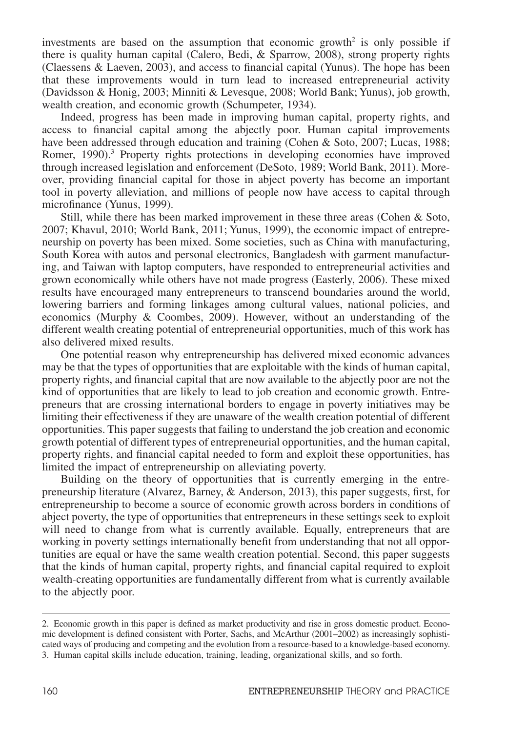investments are based on the assumption that economic growth<sup>2</sup> is only possible if there is quality human capital (Calero, Bedi, & Sparrow, 2008), strong property rights (Claessens & Laeven, 2003), and access to financial capital (Yunus). The hope has been that these improvements would in turn lead to increased entrepreneurial activity (Davidsson & Honig, 2003; Minniti & Levesque, 2008; World Bank; Yunus), job growth, wealth creation, and economic growth (Schumpeter, 1934).

Indeed, progress has been made in improving human capital, property rights, and access to financial capital among the abjectly poor. Human capital improvements have been addressed through education and training (Cohen & Soto, 2007; Lucas, 1988; Romer, 1990).<sup>3</sup> Property rights protections in developing economies have improved through increased legislation and enforcement (DeSoto, 1989; World Bank, 2011). Moreover, providing financial capital for those in abject poverty has become an important tool in poverty alleviation, and millions of people now have access to capital through microfinance (Yunus, 1999).

Still, while there has been marked improvement in these three areas (Cohen & Soto, 2007; Khavul, 2010; World Bank, 2011; Yunus, 1999), the economic impact of entrepreneurship on poverty has been mixed. Some societies, such as China with manufacturing, South Korea with autos and personal electronics, Bangladesh with garment manufacturing, and Taiwan with laptop computers, have responded to entrepreneurial activities and grown economically while others have not made progress (Easterly, 2006). These mixed results have encouraged many entrepreneurs to transcend boundaries around the world, lowering barriers and forming linkages among cultural values, national policies, and economics (Murphy & Coombes, 2009). However, without an understanding of the different wealth creating potential of entrepreneurial opportunities, much of this work has also delivered mixed results.

One potential reason why entrepreneurship has delivered mixed economic advances may be that the types of opportunities that are exploitable with the kinds of human capital, property rights, and financial capital that are now available to the abjectly poor are not the kind of opportunities that are likely to lead to job creation and economic growth. Entrepreneurs that are crossing international borders to engage in poverty initiatives may be limiting their effectiveness if they are unaware of the wealth creation potential of different opportunities. This paper suggests that failing to understand the job creation and economic growth potential of different types of entrepreneurial opportunities, and the human capital, property rights, and financial capital needed to form and exploit these opportunities, has limited the impact of entrepreneurship on alleviating poverty.

Building on the theory of opportunities that is currently emerging in the entrepreneurship literature (Alvarez, Barney, & Anderson, 2013), this paper suggests, first, for entrepreneurship to become a source of economic growth across borders in conditions of abject poverty, the type of opportunities that entrepreneurs in these settings seek to exploit will need to change from what is currently available. Equally, entrepreneurs that are working in poverty settings internationally benefit from understanding that not all opportunities are equal or have the same wealth creation potential. Second, this paper suggests that the kinds of human capital, property rights, and financial capital required to exploit wealth-creating opportunities are fundamentally different from what is currently available to the abjectly poor.

<sup>2.</sup> Economic growth in this paper is defined as market productivity and rise in gross domestic product. Economic development is defined consistent with Porter, Sachs, and McArthur (2001–2002) as increasingly sophisticated ways of producing and competing and the evolution from a resource-based to a knowledge-based economy. 3. Human capital skills include education, training, leading, organizational skills, and so forth.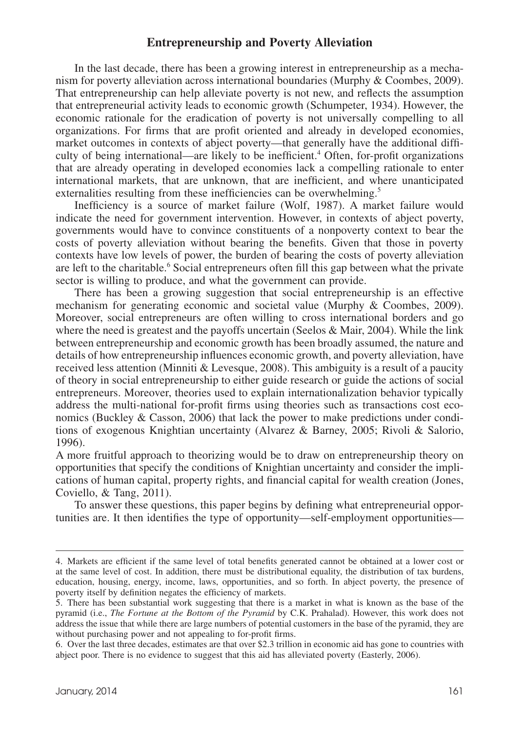#### **Entrepreneurship and Poverty Alleviation**

In the last decade, there has been a growing interest in entrepreneurship as a mechanism for poverty alleviation across international boundaries (Murphy & Coombes, 2009). That entrepreneurship can help alleviate poverty is not new, and reflects the assumption that entrepreneurial activity leads to economic growth (Schumpeter, 1934). However, the economic rationale for the eradication of poverty is not universally compelling to all organizations. For firms that are profit oriented and already in developed economies, market outcomes in contexts of abject poverty—that generally have the additional difficulty of being international—are likely to be inefficient.<sup>4</sup> Often, for-profit organizations that are already operating in developed economies lack a compelling rationale to enter international markets, that are unknown, that are inefficient, and where unanticipated externalities resulting from these inefficiencies can be overwhelming.<sup>5</sup>

Inefficiency is a source of market failure (Wolf, 1987). A market failure would indicate the need for government intervention. However, in contexts of abject poverty, governments would have to convince constituents of a nonpoverty context to bear the costs of poverty alleviation without bearing the benefits. Given that those in poverty contexts have low levels of power, the burden of bearing the costs of poverty alleviation are left to the charitable.<sup>6</sup> Social entrepreneurs often fill this gap between what the private sector is willing to produce, and what the government can provide.

There has been a growing suggestion that social entrepreneurship is an effective mechanism for generating economic and societal value (Murphy & Coombes, 2009). Moreover, social entrepreneurs are often willing to cross international borders and go where the need is greatest and the payoffs uncertain (Seelos & Mair, 2004). While the link between entrepreneurship and economic growth has been broadly assumed, the nature and details of how entrepreneurship influences economic growth, and poverty alleviation, have received less attention (Minniti & Levesque, 2008). This ambiguity is a result of a paucity of theory in social entrepreneurship to either guide research or guide the actions of social entrepreneurs. Moreover, theories used to explain internationalization behavior typically address the multi-national for-profit firms using theories such as transactions cost economics (Buckley & Casson, 2006) that lack the power to make predictions under conditions of exogenous Knightian uncertainty (Alvarez & Barney, 2005; Rivoli & Salorio, 1996).

A more fruitful approach to theorizing would be to draw on entrepreneurship theory on opportunities that specify the conditions of Knightian uncertainty and consider the implications of human capital, property rights, and financial capital for wealth creation (Jones, Coviello, & Tang, 2011).

To answer these questions, this paper begins by defining what entrepreneurial opportunities are. It then identifies the type of opportunity—self-employment opportunities—

<sup>4.</sup> Markets are efficient if the same level of total benefits generated cannot be obtained at a lower cost or at the same level of cost. In addition, there must be distributional equality, the distribution of tax burdens, education, housing, energy, income, laws, opportunities, and so forth. In abject poverty, the presence of poverty itself by definition negates the efficiency of markets.

<sup>5.</sup> There has been substantial work suggesting that there is a market in what is known as the base of the pyramid (i.e., *The Fortune at the Bottom of the Pyramid* by C.K. Prahalad). However, this work does not address the issue that while there are large numbers of potential customers in the base of the pyramid, they are without purchasing power and not appealing to for-profit firms.

<sup>6.</sup> Over the last three decades, estimates are that over \$2.3 trillion in economic aid has gone to countries with abject poor. There is no evidence to suggest that this aid has alleviated poverty (Easterly, 2006).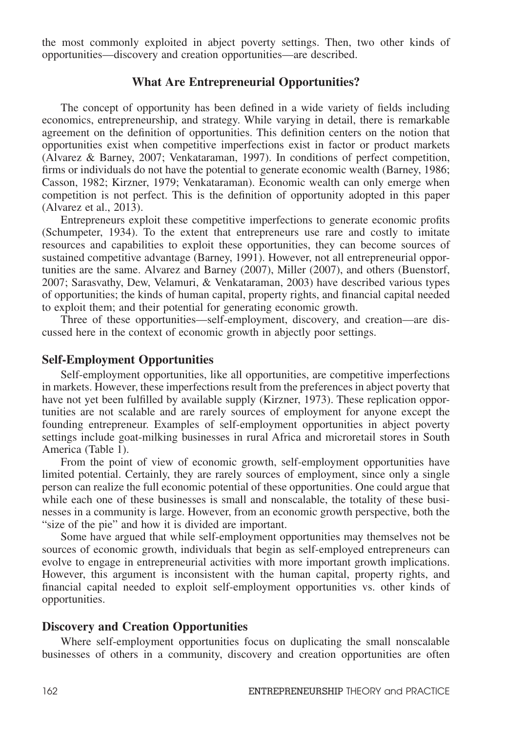the most commonly exploited in abject poverty settings. Then, two other kinds of opportunities—discovery and creation opportunities—are described.

## **What Are Entrepreneurial Opportunities?**

The concept of opportunity has been defined in a wide variety of fields including economics, entrepreneurship, and strategy. While varying in detail, there is remarkable agreement on the definition of opportunities. This definition centers on the notion that opportunities exist when competitive imperfections exist in factor or product markets (Alvarez & Barney, 2007; Venkataraman, 1997). In conditions of perfect competition, firms or individuals do not have the potential to generate economic wealth (Barney, 1986; Casson, 1982; Kirzner, 1979; Venkataraman). Economic wealth can only emerge when competition is not perfect. This is the definition of opportunity adopted in this paper (Alvarez et al., 2013).

Entrepreneurs exploit these competitive imperfections to generate economic profits (Schumpeter, 1934). To the extent that entrepreneurs use rare and costly to imitate resources and capabilities to exploit these opportunities, they can become sources of sustained competitive advantage (Barney, 1991). However, not all entrepreneurial opportunities are the same. Alvarez and Barney (2007), Miller (2007), and others (Buenstorf, 2007; Sarasvathy, Dew, Velamuri, & Venkataraman, 2003) have described various types of opportunities; the kinds of human capital, property rights, and financial capital needed to exploit them; and their potential for generating economic growth.

Three of these opportunities—self-employment, discovery, and creation—are discussed here in the context of economic growth in abjectly poor settings.

# **Self-Employment Opportunities**

Self-employment opportunities, like all opportunities, are competitive imperfections in markets. However, these imperfections result from the preferences in abject poverty that have not yet been fulfilled by available supply (Kirzner, 1973). These replication opportunities are not scalable and are rarely sources of employment for anyone except the founding entrepreneur. Examples of self-employment opportunities in abject poverty settings include goat-milking businesses in rural Africa and microretail stores in South America (Table 1).

From the point of view of economic growth, self-employment opportunities have limited potential. Certainly, they are rarely sources of employment, since only a single person can realize the full economic potential of these opportunities. One could argue that while each one of these businesses is small and nonscalable, the totality of these businesses in a community is large. However, from an economic growth perspective, both the "size of the pie" and how it is divided are important.

Some have argued that while self-employment opportunities may themselves not be sources of economic growth, individuals that begin as self-employed entrepreneurs can evolve to engage in entrepreneurial activities with more important growth implications. However, this argument is inconsistent with the human capital, property rights, and financial capital needed to exploit self-employment opportunities vs. other kinds of opportunities.

#### **Discovery and Creation Opportunities**

Where self-employment opportunities focus on duplicating the small nonscalable businesses of others in a community, discovery and creation opportunities are often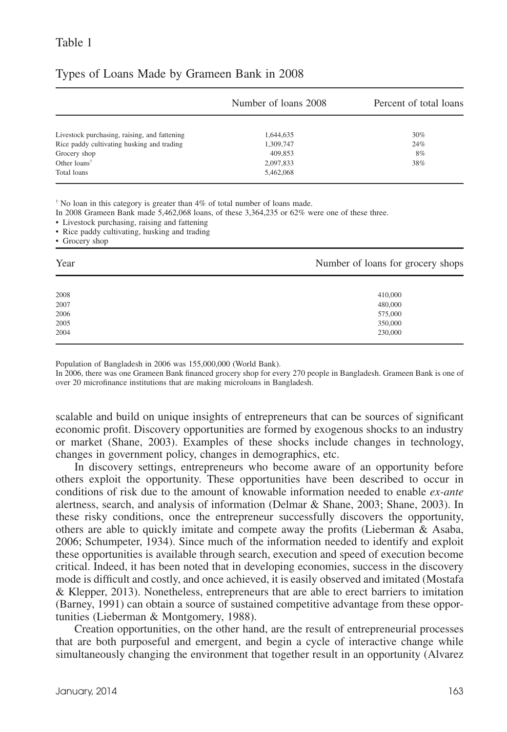|                                              | Number of loans 2008 | Percent of total loans |
|----------------------------------------------|----------------------|------------------------|
|                                              |                      |                        |
| Livestock purchasing, raising, and fattening | 1.644.635            | $30\%$                 |
| Rice paddy cultivating husking and trading   | 1,309,747            | 24%                    |
| Grocery shop                                 | 409,853              | 8%                     |
| Other $loans^{\dagger}$                      | 2,097,833            | 38%                    |
| Total loans                                  | 5,462,068            |                        |

# Types of Loans Made by Grameen Bank in 2008

† No loan in this category is greater than 4% of total number of loans made.

In 2008 Grameen Bank made 5,462,068 loans, of these 3,364,235 or 62% were one of these three.

- Livestock purchasing, raising and fattening
- Rice paddy cultivating, husking and trading

• Grocery shop

| Year | Number of loans for grocery shops |  |
|------|-----------------------------------|--|
|      |                                   |  |
| 2008 | 410,000                           |  |
| 2007 | 480,000                           |  |
| 2006 | 575,000                           |  |
| 2005 | 350,000                           |  |
| 2004 | 230,000                           |  |

Population of Bangladesh in 2006 was 155,000,000 (World Bank).

In 2006, there was one Grameen Bank financed grocery shop for every 270 people in Bangladesh. Grameen Bank is one of over 20 microfinance institutions that are making microloans in Bangladesh.

scalable and build on unique insights of entrepreneurs that can be sources of significant economic profit. Discovery opportunities are formed by exogenous shocks to an industry or market (Shane, 2003). Examples of these shocks include changes in technology, changes in government policy, changes in demographics, etc.

In discovery settings, entrepreneurs who become aware of an opportunity before others exploit the opportunity. These opportunities have been described to occur in conditions of risk due to the amount of knowable information needed to enable *ex-ante* alertness, search, and analysis of information (Delmar & Shane, 2003; Shane, 2003). In these risky conditions, once the entrepreneur successfully discovers the opportunity, others are able to quickly imitate and compete away the profits (Lieberman & Asaba, 2006; Schumpeter, 1934). Since much of the information needed to identify and exploit these opportunities is available through search, execution and speed of execution become critical. Indeed, it has been noted that in developing economies, success in the discovery mode is difficult and costly, and once achieved, it is easily observed and imitated (Mostafa & Klepper, 2013). Nonetheless, entrepreneurs that are able to erect barriers to imitation (Barney, 1991) can obtain a source of sustained competitive advantage from these opportunities (Lieberman & Montgomery, 1988).

Creation opportunities, on the other hand, are the result of entrepreneurial processes that are both purposeful and emergent, and begin a cycle of interactive change while simultaneously changing the environment that together result in an opportunity (Alvarez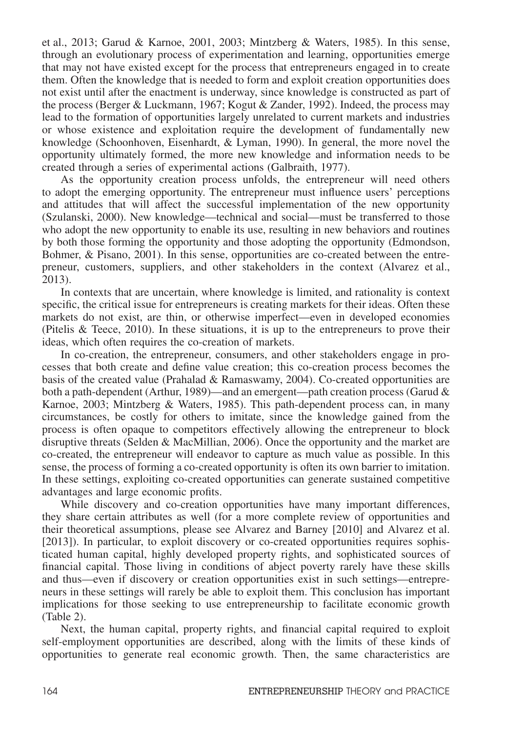et al., 2013; Garud & Karnoe, 2001, 2003; Mintzberg & Waters, 1985). In this sense, through an evolutionary process of experimentation and learning, opportunities emerge that may not have existed except for the process that entrepreneurs engaged in to create them. Often the knowledge that is needed to form and exploit creation opportunities does not exist until after the enactment is underway, since knowledge is constructed as part of the process (Berger & Luckmann, 1967; Kogut & Zander, 1992). Indeed, the process may lead to the formation of opportunities largely unrelated to current markets and industries or whose existence and exploitation require the development of fundamentally new knowledge (Schoonhoven, Eisenhardt, & Lyman, 1990). In general, the more novel the opportunity ultimately formed, the more new knowledge and information needs to be created through a series of experimental actions (Galbraith, 1977).

As the opportunity creation process unfolds, the entrepreneur will need others to adopt the emerging opportunity. The entrepreneur must influence users' perceptions and attitudes that will affect the successful implementation of the new opportunity (Szulanski, 2000). New knowledge—technical and social—must be transferred to those who adopt the new opportunity to enable its use, resulting in new behaviors and routines by both those forming the opportunity and those adopting the opportunity (Edmondson, Bohmer, & Pisano, 2001). In this sense, opportunities are co-created between the entrepreneur, customers, suppliers, and other stakeholders in the context (Alvarez et al., 2013).

In contexts that are uncertain, where knowledge is limited, and rationality is context specific, the critical issue for entrepreneurs is creating markets for their ideas. Often these markets do not exist, are thin, or otherwise imperfect—even in developed economies (Pitelis & Teece, 2010). In these situations, it is up to the entrepreneurs to prove their ideas, which often requires the co-creation of markets.

In co-creation, the entrepreneur, consumers, and other stakeholders engage in processes that both create and define value creation; this co-creation process becomes the basis of the created value (Prahalad & Ramaswamy, 2004). Co-created opportunities are both a path-dependent (Arthur, 1989)—and an emergent—path creation process (Garud  $\&$ Karnoe, 2003; Mintzberg & Waters, 1985). This path-dependent process can, in many circumstances, be costly for others to imitate, since the knowledge gained from the process is often opaque to competitors effectively allowing the entrepreneur to block disruptive threats (Selden & MacMillian, 2006). Once the opportunity and the market are co-created, the entrepreneur will endeavor to capture as much value as possible. In this sense, the process of forming a co-created opportunity is often its own barrier to imitation. In these settings, exploiting co-created opportunities can generate sustained competitive advantages and large economic profits.

While discovery and co-creation opportunities have many important differences, they share certain attributes as well (for a more complete review of opportunities and their theoretical assumptions, please see Alvarez and Barney [2010] and Alvarez et al. [2013]). In particular, to exploit discovery or co-created opportunities requires sophisticated human capital, highly developed property rights, and sophisticated sources of financial capital. Those living in conditions of abject poverty rarely have these skills and thus—even if discovery or creation opportunities exist in such settings—entrepreneurs in these settings will rarely be able to exploit them. This conclusion has important implications for those seeking to use entrepreneurship to facilitate economic growth (Table 2).

Next, the human capital, property rights, and financial capital required to exploit self-employment opportunities are described, along with the limits of these kinds of opportunities to generate real economic growth. Then, the same characteristics are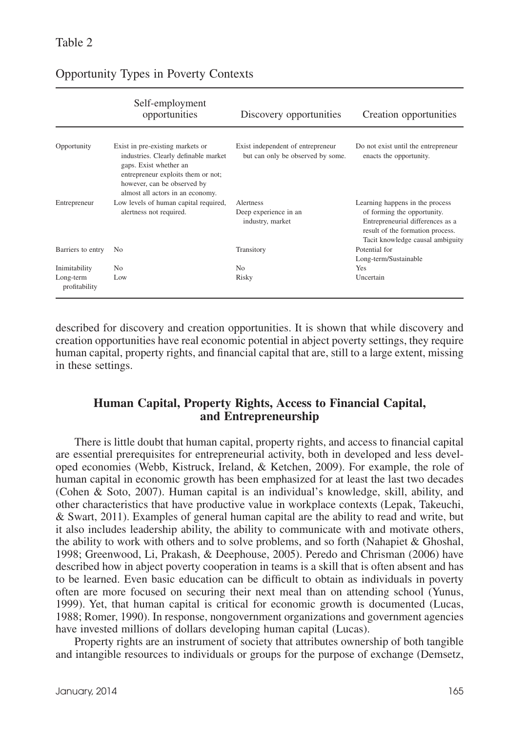|                            | Self-employment<br>opportunities                                                                                                                                        | Discovery opportunities                                                | Creation opportunities                                                                                                                                                     |
|----------------------------|-------------------------------------------------------------------------------------------------------------------------------------------------------------------------|------------------------------------------------------------------------|----------------------------------------------------------------------------------------------------------------------------------------------------------------------------|
| Opportunity                | Exist in pre-existing markets or<br>industries. Clearly definable market<br>gaps. Exist whether an<br>entrepreneur exploits them or not;<br>however, can be observed by | Exist independent of entrepreneur<br>but can only be observed by some. | Do not exist until the entrepreneur<br>enacts the opportunity.                                                                                                             |
| Entrepreneur               | almost all actors in an economy.<br>Low levels of human capital required,<br>alertness not required.                                                                    | Alertness<br>Deep experience in an<br>industry, market                 | Learning happens in the process<br>of forming the opportunity.<br>Entrepreneurial differences as a<br>result of the formation process.<br>Tacit knowledge causal ambiguity |
| Barriers to entry          | No                                                                                                                                                                      | Transitory                                                             | Potential for                                                                                                                                                              |
| Inimitability              | N <sub>0</sub>                                                                                                                                                          | N <sub>0</sub>                                                         | Long-term/Sustainable<br>Yes                                                                                                                                               |
| Long-term<br>profitability | Low                                                                                                                                                                     | Risky                                                                  | Uncertain                                                                                                                                                                  |

# Opportunity Types in Poverty Contexts

described for discovery and creation opportunities. It is shown that while discovery and creation opportunities have real economic potential in abject poverty settings, they require human capital, property rights, and financial capital that are, still to a large extent, missing in these settings.

# **Human Capital, Property Rights, Access to Financial Capital, and Entrepreneurship**

There is little doubt that human capital, property rights, and access to financial capital are essential prerequisites for entrepreneurial activity, both in developed and less developed economies (Webb, Kistruck, Ireland, & Ketchen, 2009). For example, the role of human capital in economic growth has been emphasized for at least the last two decades (Cohen & Soto, 2007). Human capital is an individual's knowledge, skill, ability, and other characteristics that have productive value in workplace contexts (Lepak, Takeuchi, & Swart, 2011). Examples of general human capital are the ability to read and write, but it also includes leadership ability, the ability to communicate with and motivate others, the ability to work with others and to solve problems, and so forth (Nahapiet & Ghoshal, 1998; Greenwood, Li, Prakash, & Deephouse, 2005). Peredo and Chrisman (2006) have described how in abject poverty cooperation in teams is a skill that is often absent and has to be learned. Even basic education can be difficult to obtain as individuals in poverty often are more focused on securing their next meal than on attending school (Yunus, 1999). Yet, that human capital is critical for economic growth is documented (Lucas, 1988; Romer, 1990). In response, nongovernment organizations and government agencies have invested millions of dollars developing human capital (Lucas).

Property rights are an instrument of society that attributes ownership of both tangible and intangible resources to individuals or groups for the purpose of exchange (Demsetz,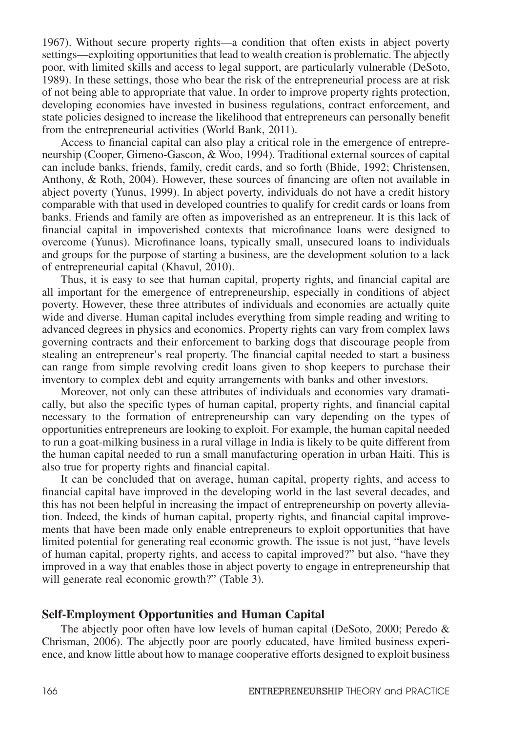1967). Without secure property rights—a condition that often exists in abject poverty settings—exploiting opportunities that lead to wealth creation is problematic. The abjectly poor, with limited skills and access to legal support, are particularly vulnerable (DeSoto, 1989). In these settings, those who bear the risk of the entrepreneurial process are at risk of not being able to appropriate that value. In order to improve property rights protection, developing economies have invested in business regulations, contract enforcement, and state policies designed to increase the likelihood that entrepreneurs can personally benefit from the entrepreneurial activities (World Bank, 2011).

Access to financial capital can also play a critical role in the emergence of entrepreneurship (Cooper, Gimeno-Gascon, & Woo, 1994). Traditional external sources of capital can include banks, friends, family, credit cards, and so forth (Bhide, 1992; Christensen, Anthony, & Roth, 2004). However, these sources of financing are often not available in abject poverty (Yunus, 1999). In abject poverty, individuals do not have a credit history comparable with that used in developed countries to qualify for credit cards or loans from banks. Friends and family are often as impoverished as an entrepreneur. It is this lack of financial capital in impoverished contexts that microfinance loans were designed to overcome (Yunus). Microfinance loans, typically small, unsecured loans to individuals and groups for the purpose of starting a business, are the development solution to a lack of entrepreneurial capital (Khavul, 2010).

Thus, it is easy to see that human capital, property rights, and financial capital are all important for the emergence of entrepreneurship, especially in conditions of abject poverty. However, these three attributes of individuals and economies are actually quite wide and diverse. Human capital includes everything from simple reading and writing to advanced degrees in physics and economics. Property rights can vary from complex laws governing contracts and their enforcement to barking dogs that discourage people from stealing an entrepreneur's real property. The financial capital needed to start a business can range from simple revolving credit loans given to shop keepers to purchase their inventory to complex debt and equity arrangements with banks and other investors.

Moreover, not only can these attributes of individuals and economies vary dramatically, but also the specific types of human capital, property rights, and financial capital necessary to the formation of entrepreneurship can vary depending on the types of opportunities entrepreneurs are looking to exploit. For example, the human capital needed to run a goat-milking business in a rural village in India is likely to be quite different from the human capital needed to run a small manufacturing operation in urban Haiti. This is also true for property rights and financial capital.

It can be concluded that on average, human capital, property rights, and access to financial capital have improved in the developing world in the last several decades, and this has not been helpful in increasing the impact of entrepreneurship on poverty alleviation. Indeed, the kinds of human capital, property rights, and financial capital improvements that have been made only enable entrepreneurs to exploit opportunities that have limited potential for generating real economic growth. The issue is not just, "have levels of human capital, property rights, and access to capital improved?" but also, "have they improved in a way that enables those in abject poverty to engage in entrepreneurship that will generate real economic growth?" (Table 3).

#### **Self-Employment Opportunities and Human Capital**

The abjectly poor often have low levels of human capital (DeSoto, 2000; Peredo & Chrisman, 2006). The abjectly poor are poorly educated, have limited business experience, and know little about how to manage cooperative efforts designed to exploit business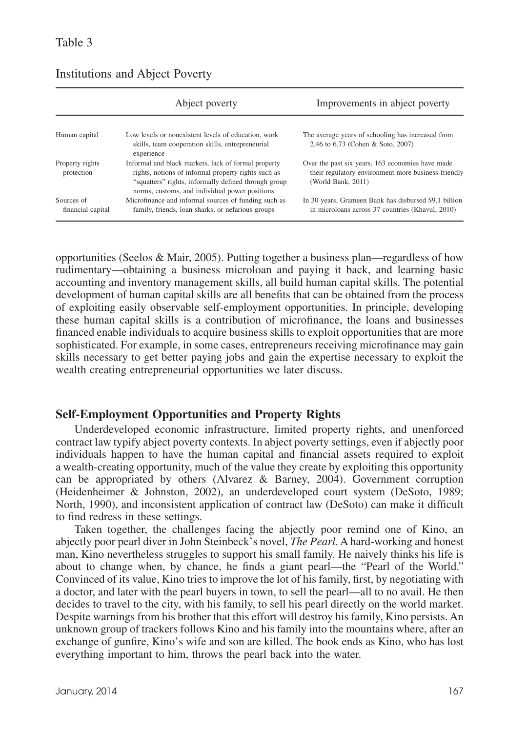|                                 | Abject poverty                                                                                                                                                                                                       | Improvements in abject poverty                                                                                                |
|---------------------------------|----------------------------------------------------------------------------------------------------------------------------------------------------------------------------------------------------------------------|-------------------------------------------------------------------------------------------------------------------------------|
| Human capital                   | Low levels or nonexistent levels of education, work<br>skills, team cooperation skills, entrepreneurial<br>experience                                                                                                | The average years of schooling has increased from<br>2.46 to 6.73 (Cohen & Soto, 2007)                                        |
| Property rights<br>protection   | Informal and black markets, lack of formal property<br>rights, notions of informal property rights such as<br>"squatters" rights, informally defined through group<br>norms, customs, and individual power positions | Over the past six years, 163 economies have made<br>their regulatory environment more business-friendly<br>(World Bank, 2011) |
| Sources of<br>financial capital | Microfinance and informal sources of funding such as<br>family, friends, loan sharks, or nefarious groups                                                                                                            | In 30 years, Grameen Bank has disbursed \$9.1 billion<br>in microloans across 37 countries (Khavul, 2010)                     |

# Institutions and Abject Poverty

opportunities (Seelos  $&$  Mair, 2005). Putting together a business plan—regardless of how rudimentary—obtaining a business microloan and paying it back, and learning basic accounting and inventory management skills, all build human capital skills. The potential development of human capital skills are all benefits that can be obtained from the process of exploiting easily observable self-employment opportunities. In principle, developing these human capital skills is a contribution of microfinance, the loans and businesses financed enable individuals to acquire business skills to exploit opportunities that are more sophisticated. For example, in some cases, entrepreneurs receiving microfinance may gain skills necessary to get better paying jobs and gain the expertise necessary to exploit the wealth creating entrepreneurial opportunities we later discuss.

# **Self-Employment Opportunities and Property Rights**

Underdeveloped economic infrastructure, limited property rights, and unenforced contract law typify abject poverty contexts. In abject poverty settings, even if abjectly poor individuals happen to have the human capital and financial assets required to exploit a wealth-creating opportunity, much of the value they create by exploiting this opportunity can be appropriated by others (Alvarez & Barney, 2004). Government corruption (Heidenheimer & Johnston, 2002), an underdeveloped court system (DeSoto, 1989; North, 1990), and inconsistent application of contract law (DeSoto) can make it difficult to find redress in these settings.

Taken together, the challenges facing the abjectly poor remind one of Kino, an abjectly poor pearl diver in John Steinbeck's novel, *The Pearl*. A hard-working and honest man, Kino nevertheless struggles to support his small family. He naively thinks his life is about to change when, by chance, he finds a giant pearl—the "Pearl of the World." Convinced of its value, Kino tries to improve the lot of his family, first, by negotiating with a doctor, and later with the pearl buyers in town, to sell the pearl—all to no avail. He then decides to travel to the city, with his family, to sell his pearl directly on the world market. Despite warnings from his brother that this effort will destroy his family, Kino persists. An unknown group of trackers follows Kino and his family into the mountains where, after an exchange of gunfire, Kino's wife and son are killed. The book ends as Kino, who has lost everything important to him, throws the pearl back into the water.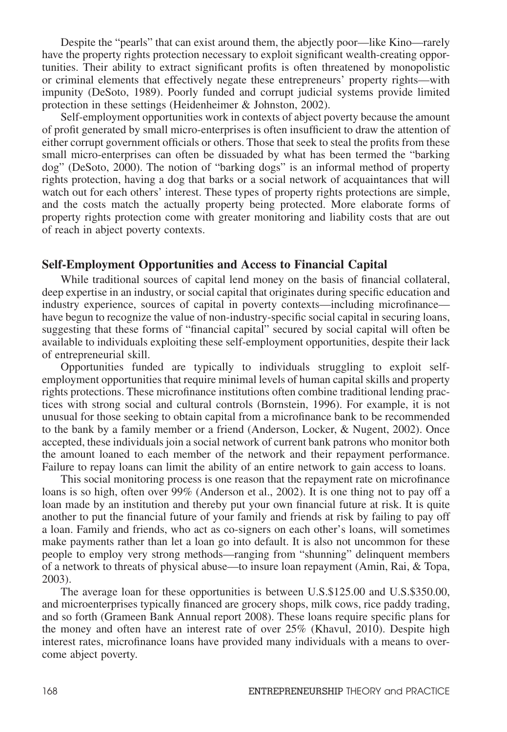Despite the "pearls" that can exist around them, the abjectly poor—like Kino—rarely have the property rights protection necessary to exploit significant wealth-creating opportunities. Their ability to extract significant profits is often threatened by monopolistic or criminal elements that effectively negate these entrepreneurs' property rights—with impunity (DeSoto, 1989). Poorly funded and corrupt judicial systems provide limited protection in these settings (Heidenheimer & Johnston, 2002).

Self-employment opportunities work in contexts of abject poverty because the amount of profit generated by small micro-enterprises is often insufficient to draw the attention of either corrupt government officials or others. Those that seek to steal the profits from these small micro-enterprises can often be dissuaded by what has been termed the "barking dog" (DeSoto, 2000). The notion of "barking dogs" is an informal method of property rights protection, having a dog that barks or a social network of acquaintances that will watch out for each others' interest. These types of property rights protections are simple, and the costs match the actually property being protected. More elaborate forms of property rights protection come with greater monitoring and liability costs that are out of reach in abject poverty contexts.

## **Self-Employment Opportunities and Access to Financial Capital**

While traditional sources of capital lend money on the basis of financial collateral, deep expertise in an industry, or social capital that originates during specific education and industry experience, sources of capital in poverty contexts—including microfinance have begun to recognize the value of non-industry-specific social capital in securing loans, suggesting that these forms of "financial capital" secured by social capital will often be available to individuals exploiting these self-employment opportunities, despite their lack of entrepreneurial skill.

Opportunities funded are typically to individuals struggling to exploit selfemployment opportunities that require minimal levels of human capital skills and property rights protections. These microfinance institutions often combine traditional lending practices with strong social and cultural controls (Bornstein, 1996). For example, it is not unusual for those seeking to obtain capital from a microfinance bank to be recommended to the bank by a family member or a friend (Anderson, Locker, & Nugent, 2002). Once accepted, these individuals join a social network of current bank patrons who monitor both the amount loaned to each member of the network and their repayment performance. Failure to repay loans can limit the ability of an entire network to gain access to loans.

This social monitoring process is one reason that the repayment rate on microfinance loans is so high, often over 99% (Anderson et al., 2002). It is one thing not to pay off a loan made by an institution and thereby put your own financial future at risk. It is quite another to put the financial future of your family and friends at risk by failing to pay off a loan. Family and friends, who act as co-signers on each other's loans, will sometimes make payments rather than let a loan go into default. It is also not uncommon for these people to employ very strong methods—ranging from "shunning" delinquent members of a network to threats of physical abuse—to insure loan repayment (Amin, Rai, & Topa, 2003).

The average loan for these opportunities is between U.S.\$125.00 and U.S.\$350.00, and microenterprises typically financed are grocery shops, milk cows, rice paddy trading, and so forth (Grameen Bank Annual report 2008). These loans require specific plans for the money and often have an interest rate of over 25% (Khavul, 2010). Despite high interest rates, microfinance loans have provided many individuals with a means to overcome abject poverty.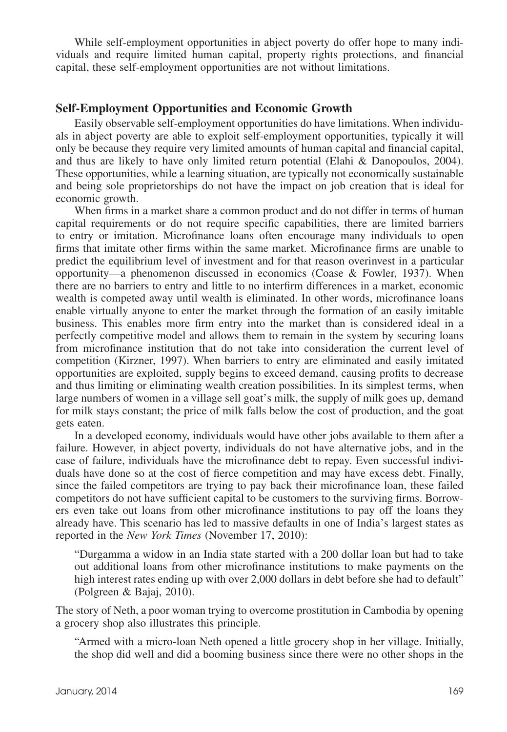While self-employment opportunities in abject poverty do offer hope to many individuals and require limited human capital, property rights protections, and financial capital, these self-employment opportunities are not without limitations.

# **Self-Employment Opportunities and Economic Growth**

Easily observable self-employment opportunities do have limitations. When individuals in abject poverty are able to exploit self-employment opportunities, typically it will only be because they require very limited amounts of human capital and financial capital, and thus are likely to have only limited return potential (Elahi & Danopoulos, 2004). These opportunities, while a learning situation, are typically not economically sustainable and being sole proprietorships do not have the impact on job creation that is ideal for economic growth.

When firms in a market share a common product and do not differ in terms of human capital requirements or do not require specific capabilities, there are limited barriers to entry or imitation. Microfinance loans often encourage many individuals to open firms that imitate other firms within the same market. Microfinance firms are unable to predict the equilibrium level of investment and for that reason overinvest in a particular opportunity—a phenomenon discussed in economics (Coase & Fowler, 1937). When there are no barriers to entry and little to no interfirm differences in a market, economic wealth is competed away until wealth is eliminated. In other words, microfinance loans enable virtually anyone to enter the market through the formation of an easily imitable business. This enables more firm entry into the market than is considered ideal in a perfectly competitive model and allows them to remain in the system by securing loans from microfinance institution that do not take into consideration the current level of competition (Kirzner, 1997). When barriers to entry are eliminated and easily imitated opportunities are exploited, supply begins to exceed demand, causing profits to decrease and thus limiting or eliminating wealth creation possibilities. In its simplest terms, when large numbers of women in a village sell goat's milk, the supply of milk goes up, demand for milk stays constant; the price of milk falls below the cost of production, and the goat gets eaten.

In a developed economy, individuals would have other jobs available to them after a failure. However, in abject poverty, individuals do not have alternative jobs, and in the case of failure, individuals have the microfinance debt to repay. Even successful individuals have done so at the cost of fierce competition and may have excess debt. Finally, since the failed competitors are trying to pay back their microfinance loan, these failed competitors do not have sufficient capital to be customers to the surviving firms. Borrowers even take out loans from other microfinance institutions to pay off the loans they already have. This scenario has led to massive defaults in one of India's largest states as reported in the *New York Times* (November 17, 2010):

"Durgamma a widow in an India state started with a 200 dollar loan but had to take out additional loans from other microfinance institutions to make payments on the high interest rates ending up with over 2,000 dollars in debt before she had to default" (Polgreen & Bajaj, 2010).

The story of Neth, a poor woman trying to overcome prostitution in Cambodia by opening a grocery shop also illustrates this principle.

"Armed with a micro-loan Neth opened a little grocery shop in her village. Initially, the shop did well and did a booming business since there were no other shops in the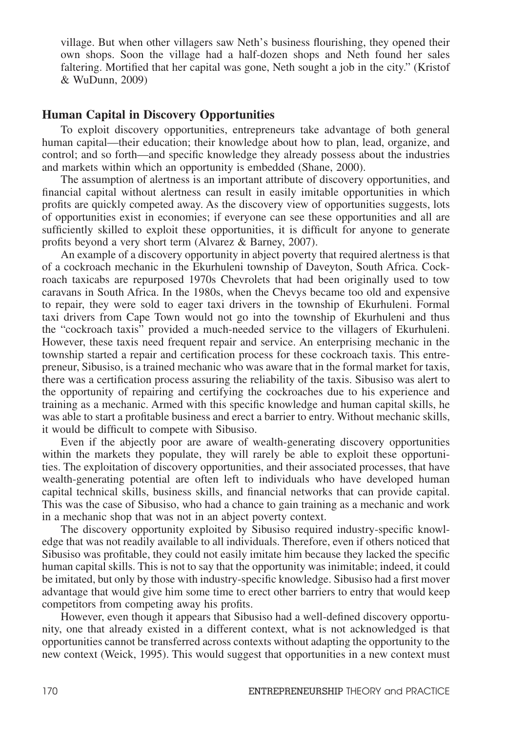village. But when other villagers saw Neth's business flourishing, they opened their own shops. Soon the village had a half-dozen shops and Neth found her sales faltering. Mortified that her capital was gone, Neth sought a job in the city." (Kristof & WuDunn, 2009)

# **Human Capital in Discovery Opportunities**

To exploit discovery opportunities, entrepreneurs take advantage of both general human capital—their education; their knowledge about how to plan, lead, organize, and control; and so forth—and specific knowledge they already possess about the industries and markets within which an opportunity is embedded (Shane, 2000).

The assumption of alertness is an important attribute of discovery opportunities, and financial capital without alertness can result in easily imitable opportunities in which profits are quickly competed away. As the discovery view of opportunities suggests, lots of opportunities exist in economies; if everyone can see these opportunities and all are sufficiently skilled to exploit these opportunities, it is difficult for anyone to generate profits beyond a very short term (Alvarez & Barney, 2007).

An example of a discovery opportunity in abject poverty that required alertness is that of a cockroach mechanic in the Ekurhuleni township of Daveyton, South Africa. Cockroach taxicabs are repurposed 1970s Chevrolets that had been originally used to tow caravans in South Africa. In the 1980s, when the Chevys became too old and expensive to repair, they were sold to eager taxi drivers in the township of Ekurhuleni. Formal taxi drivers from Cape Town would not go into the township of Ekurhuleni and thus the "cockroach taxis" provided a much-needed service to the villagers of Ekurhuleni. However, these taxis need frequent repair and service. An enterprising mechanic in the township started a repair and certification process for these cockroach taxis. This entrepreneur, Sibusiso, is a trained mechanic who was aware that in the formal market for taxis, there was a certification process assuring the reliability of the taxis. Sibusiso was alert to the opportunity of repairing and certifying the cockroaches due to his experience and training as a mechanic. Armed with this specific knowledge and human capital skills, he was able to start a profitable business and erect a barrier to entry. Without mechanic skills, it would be difficult to compete with Sibusiso.

Even if the abjectly poor are aware of wealth-generating discovery opportunities within the markets they populate, they will rarely be able to exploit these opportunities. The exploitation of discovery opportunities, and their associated processes, that have wealth-generating potential are often left to individuals who have developed human capital technical skills, business skills, and financial networks that can provide capital. This was the case of Sibusiso, who had a chance to gain training as a mechanic and work in a mechanic shop that was not in an abject poverty context.

The discovery opportunity exploited by Sibusiso required industry-specific knowledge that was not readily available to all individuals. Therefore, even if others noticed that Sibusiso was profitable, they could not easily imitate him because they lacked the specific human capital skills. This is not to say that the opportunity was inimitable; indeed, it could be imitated, but only by those with industry-specific knowledge. Sibusiso had a first mover advantage that would give him some time to erect other barriers to entry that would keep competitors from competing away his profits.

However, even though it appears that Sibusiso had a well-defined discovery opportunity, one that already existed in a different context, what is not acknowledged is that opportunities cannot be transferred across contexts without adapting the opportunity to the new context (Weick, 1995). This would suggest that opportunities in a new context must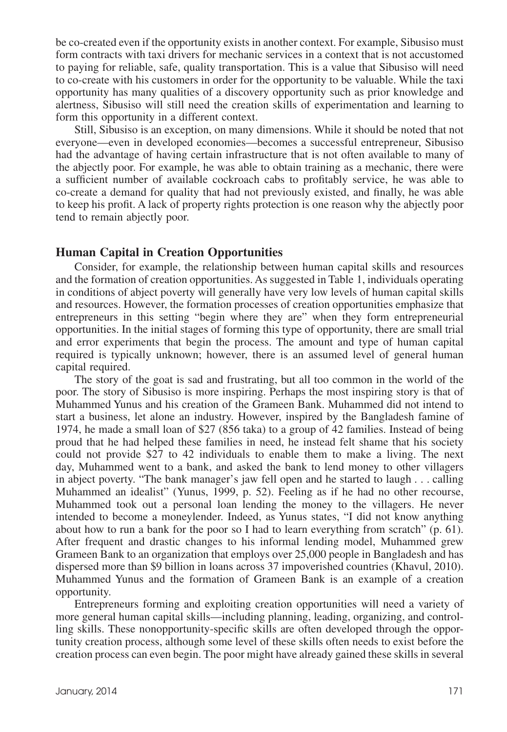be co-created even if the opportunity exists in another context. For example, Sibusiso must form contracts with taxi drivers for mechanic services in a context that is not accustomed to paying for reliable, safe, quality transportation. This is a value that Sibusiso will need to co-create with his customers in order for the opportunity to be valuable. While the taxi opportunity has many qualities of a discovery opportunity such as prior knowledge and alertness, Sibusiso will still need the creation skills of experimentation and learning to form this opportunity in a different context.

Still, Sibusiso is an exception, on many dimensions. While it should be noted that not everyone—even in developed economies—becomes a successful entrepreneur, Sibusiso had the advantage of having certain infrastructure that is not often available to many of the abjectly poor. For example, he was able to obtain training as a mechanic, there were a sufficient number of available cockroach cabs to profitably service, he was able to co-create a demand for quality that had not previously existed, and finally, he was able to keep his profit. A lack of property rights protection is one reason why the abjectly poor tend to remain abjectly poor.

# **Human Capital in Creation Opportunities**

Consider, for example, the relationship between human capital skills and resources and the formation of creation opportunities. As suggested in Table 1, individuals operating in conditions of abject poverty will generally have very low levels of human capital skills and resources. However, the formation processes of creation opportunities emphasize that entrepreneurs in this setting "begin where they are" when they form entrepreneurial opportunities. In the initial stages of forming this type of opportunity, there are small trial and error experiments that begin the process. The amount and type of human capital required is typically unknown; however, there is an assumed level of general human capital required.

The story of the goat is sad and frustrating, but all too common in the world of the poor. The story of Sibusiso is more inspiring. Perhaps the most inspiring story is that of Muhammed Yunus and his creation of the Grameen Bank. Muhammed did not intend to start a business, let alone an industry. However, inspired by the Bangladesh famine of 1974, he made a small loan of \$27 (856 taka) to a group of 42 families. Instead of being proud that he had helped these families in need, he instead felt shame that his society could not provide \$27 to 42 individuals to enable them to make a living. The next day, Muhammed went to a bank, and asked the bank to lend money to other villagers in abject poverty. "The bank manager's jaw fell open and he started to laugh . . . calling Muhammed an idealist" (Yunus, 1999, p. 52). Feeling as if he had no other recourse, Muhammed took out a personal loan lending the money to the villagers. He never intended to become a moneylender. Indeed, as Yunus states, "I did not know anything about how to run a bank for the poor so I had to learn everything from scratch" (p. 61). After frequent and drastic changes to his informal lending model, Muhammed grew Grameen Bank to an organization that employs over 25,000 people in Bangladesh and has dispersed more than \$9 billion in loans across 37 impoverished countries (Khavul, 2010). Muhammed Yunus and the formation of Grameen Bank is an example of a creation opportunity.

Entrepreneurs forming and exploiting creation opportunities will need a variety of more general human capital skills—including planning, leading, organizing, and controlling skills. These nonopportunity-specific skills are often developed through the opportunity creation process, although some level of these skills often needs to exist before the creation process can even begin. The poor might have already gained these skills in several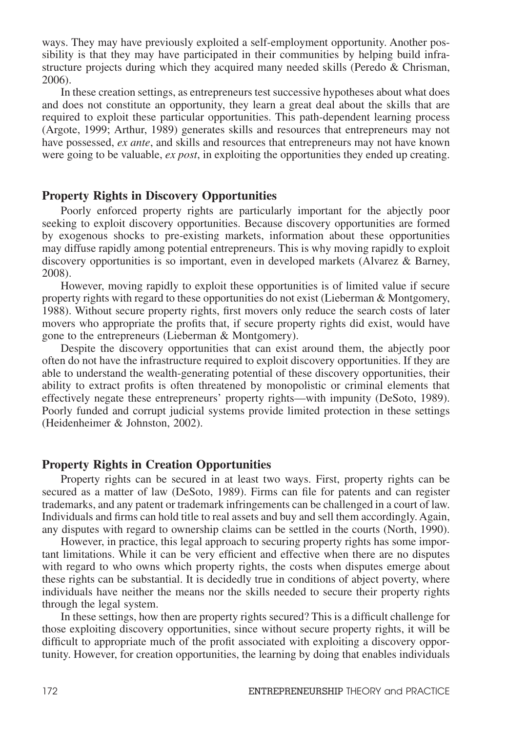ways. They may have previously exploited a self-employment opportunity. Another possibility is that they may have participated in their communities by helping build infrastructure projects during which they acquired many needed skills (Peredo & Chrisman, 2006).

In these creation settings, as entrepreneurs test successive hypotheses about what does and does not constitute an opportunity, they learn a great deal about the skills that are required to exploit these particular opportunities. This path-dependent learning process (Argote, 1999; Arthur, 1989) generates skills and resources that entrepreneurs may not have possessed, *ex ante*, and skills and resources that entrepreneurs may not have known were going to be valuable, *ex post*, in exploiting the opportunities they ended up creating.

# **Property Rights in Discovery Opportunities**

Poorly enforced property rights are particularly important for the abjectly poor seeking to exploit discovery opportunities. Because discovery opportunities are formed by exogenous shocks to pre-existing markets, information about these opportunities may diffuse rapidly among potential entrepreneurs. This is why moving rapidly to exploit discovery opportunities is so important, even in developed markets (Alvarez & Barney, 2008).

However, moving rapidly to exploit these opportunities is of limited value if secure property rights with regard to these opportunities do not exist (Lieberman & Montgomery, 1988). Without secure property rights, first movers only reduce the search costs of later movers who appropriate the profits that, if secure property rights did exist, would have gone to the entrepreneurs (Lieberman & Montgomery).

Despite the discovery opportunities that can exist around them, the abjectly poor often do not have the infrastructure required to exploit discovery opportunities. If they are able to understand the wealth-generating potential of these discovery opportunities, their ability to extract profits is often threatened by monopolistic or criminal elements that effectively negate these entrepreneurs' property rights—with impunity (DeSoto, 1989). Poorly funded and corrupt judicial systems provide limited protection in these settings (Heidenheimer & Johnston, 2002).

## **Property Rights in Creation Opportunities**

Property rights can be secured in at least two ways. First, property rights can be secured as a matter of law (DeSoto, 1989). Firms can file for patents and can register trademarks, and any patent or trademark infringements can be challenged in a court of law. Individuals and firms can hold title to real assets and buy and sell them accordingly. Again, any disputes with regard to ownership claims can be settled in the courts (North, 1990).

However, in practice, this legal approach to securing property rights has some important limitations. While it can be very efficient and effective when there are no disputes with regard to who owns which property rights, the costs when disputes emerge about these rights can be substantial. It is decidedly true in conditions of abject poverty, where individuals have neither the means nor the skills needed to secure their property rights through the legal system.

In these settings, how then are property rights secured? This is a difficult challenge for those exploiting discovery opportunities, since without secure property rights, it will be difficult to appropriate much of the profit associated with exploiting a discovery opportunity. However, for creation opportunities, the learning by doing that enables individuals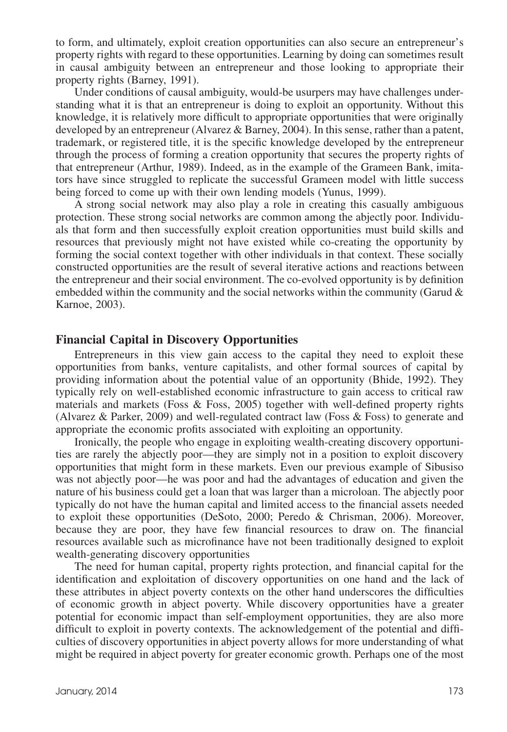to form, and ultimately, exploit creation opportunities can also secure an entrepreneur's property rights with regard to these opportunities. Learning by doing can sometimes result in causal ambiguity between an entrepreneur and those looking to appropriate their property rights (Barney, 1991).

Under conditions of causal ambiguity, would-be usurpers may have challenges understanding what it is that an entrepreneur is doing to exploit an opportunity. Without this knowledge, it is relatively more difficult to appropriate opportunities that were originally developed by an entrepreneur (Alvarez & Barney, 2004). In this sense, rather than a patent, trademark, or registered title, it is the specific knowledge developed by the entrepreneur through the process of forming a creation opportunity that secures the property rights of that entrepreneur (Arthur, 1989). Indeed, as in the example of the Grameen Bank, imitators have since struggled to replicate the successful Grameen model with little success being forced to come up with their own lending models (Yunus, 1999).

A strong social network may also play a role in creating this casually ambiguous protection. These strong social networks are common among the abjectly poor. Individuals that form and then successfully exploit creation opportunities must build skills and resources that previously might not have existed while co-creating the opportunity by forming the social context together with other individuals in that context. These socially constructed opportunities are the result of several iterative actions and reactions between the entrepreneur and their social environment. The co-evolved opportunity is by definition embedded within the community and the social networks within the community (Garud  $\&$ Karnoe, 2003).

#### **Financial Capital in Discovery Opportunities**

Entrepreneurs in this view gain access to the capital they need to exploit these opportunities from banks, venture capitalists, and other formal sources of capital by providing information about the potential value of an opportunity (Bhide, 1992). They typically rely on well-established economic infrastructure to gain access to critical raw materials and markets (Foss & Foss, 2005) together with well-defined property rights (Alvarez & Parker, 2009) and well-regulated contract law (Foss & Foss) to generate and appropriate the economic profits associated with exploiting an opportunity.

Ironically, the people who engage in exploiting wealth-creating discovery opportunities are rarely the abjectly poor—they are simply not in a position to exploit discovery opportunities that might form in these markets. Even our previous example of Sibusiso was not abjectly poor—he was poor and had the advantages of education and given the nature of his business could get a loan that was larger than a microloan. The abjectly poor typically do not have the human capital and limited access to the financial assets needed to exploit these opportunities (DeSoto, 2000; Peredo & Chrisman, 2006). Moreover, because they are poor, they have few financial resources to draw on. The financial resources available such as microfinance have not been traditionally designed to exploit wealth-generating discovery opportunities

The need for human capital, property rights protection, and financial capital for the identification and exploitation of discovery opportunities on one hand and the lack of these attributes in abject poverty contexts on the other hand underscores the difficulties of economic growth in abject poverty. While discovery opportunities have a greater potential for economic impact than self-employment opportunities, they are also more difficult to exploit in poverty contexts. The acknowledgement of the potential and difficulties of discovery opportunities in abject poverty allows for more understanding of what might be required in abject poverty for greater economic growth. Perhaps one of the most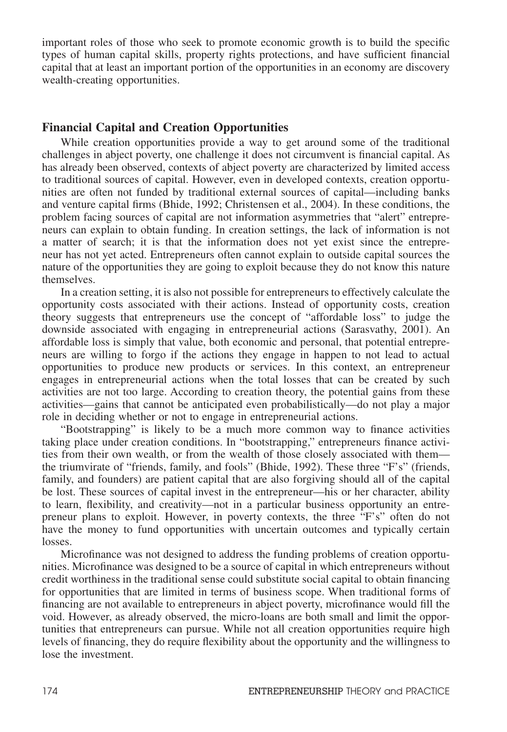important roles of those who seek to promote economic growth is to build the specific types of human capital skills, property rights protections, and have sufficient financial capital that at least an important portion of the opportunities in an economy are discovery wealth-creating opportunities.

# **Financial Capital and Creation Opportunities**

While creation opportunities provide a way to get around some of the traditional challenges in abject poverty, one challenge it does not circumvent is financial capital. As has already been observed, contexts of abject poverty are characterized by limited access to traditional sources of capital. However, even in developed contexts, creation opportunities are often not funded by traditional external sources of capital—including banks and venture capital firms (Bhide, 1992; Christensen et al., 2004). In these conditions, the problem facing sources of capital are not information asymmetries that "alert" entrepreneurs can explain to obtain funding. In creation settings, the lack of information is not a matter of search; it is that the information does not yet exist since the entrepreneur has not yet acted. Entrepreneurs often cannot explain to outside capital sources the nature of the opportunities they are going to exploit because they do not know this nature themselves.

In a creation setting, it is also not possible for entrepreneurs to effectively calculate the opportunity costs associated with their actions. Instead of opportunity costs, creation theory suggests that entrepreneurs use the concept of "affordable loss" to judge the downside associated with engaging in entrepreneurial actions (Sarasvathy, 2001). An affordable loss is simply that value, both economic and personal, that potential entrepreneurs are willing to forgo if the actions they engage in happen to not lead to actual opportunities to produce new products or services. In this context, an entrepreneur engages in entrepreneurial actions when the total losses that can be created by such activities are not too large. According to creation theory, the potential gains from these activities—gains that cannot be anticipated even probabilistically—do not play a major role in deciding whether or not to engage in entrepreneurial actions.

"Bootstrapping" is likely to be a much more common way to finance activities taking place under creation conditions. In "bootstrapping," entrepreneurs finance activities from their own wealth, or from the wealth of those closely associated with them the triumvirate of "friends, family, and fools" (Bhide, 1992). These three "F's" (friends, family, and founders) are patient capital that are also forgiving should all of the capital be lost. These sources of capital invest in the entrepreneur—his or her character, ability to learn, flexibility, and creativity—not in a particular business opportunity an entrepreneur plans to exploit. However, in poverty contexts, the three "F's" often do not have the money to fund opportunities with uncertain outcomes and typically certain losses.

Microfinance was not designed to address the funding problems of creation opportunities. Microfinance was designed to be a source of capital in which entrepreneurs without credit worthiness in the traditional sense could substitute social capital to obtain financing for opportunities that are limited in terms of business scope. When traditional forms of financing are not available to entrepreneurs in abject poverty, microfinance would fill the void. However, as already observed, the micro-loans are both small and limit the opportunities that entrepreneurs can pursue. While not all creation opportunities require high levels of financing, they do require flexibility about the opportunity and the willingness to lose the investment.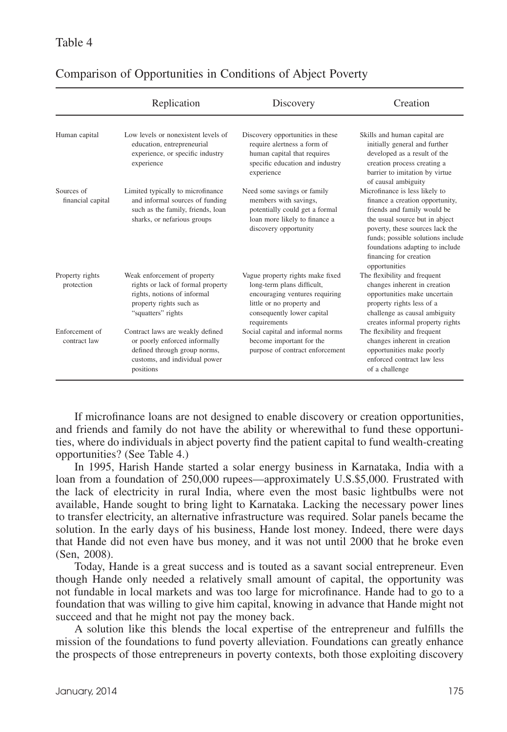|                                 | Replication                                                                                                                                       | Discovery                                                                                                                                                                   | Creation                                                                                                                                                                                                                                                                                 |
|---------------------------------|---------------------------------------------------------------------------------------------------------------------------------------------------|-----------------------------------------------------------------------------------------------------------------------------------------------------------------------------|------------------------------------------------------------------------------------------------------------------------------------------------------------------------------------------------------------------------------------------------------------------------------------------|
| Human capital                   | Low levels or nonexistent levels of<br>education, entrepreneurial<br>experience, or specific industry<br>experience                               | Discovery opportunities in these<br>require alertness a form of<br>human capital that requires<br>specific education and industry<br>experience                             | Skills and human capital are<br>initially general and further<br>developed as a result of the<br>creation process creating a<br>barrier to imitation by virtue<br>of causal ambiguity                                                                                                    |
| Sources of<br>financial capital | Limited typically to microfinance<br>and informal sources of funding<br>such as the family, friends, loan<br>sharks, or nefarious groups          | Need some savings or family<br>members with savings,<br>potentially could get a formal<br>loan more likely to finance a<br>discovery opportunity                            | Microfinance is less likely to<br>finance a creation opportunity,<br>friends and family would be<br>the usual source but in abject<br>poverty, these sources lack the<br>funds; possible solutions include<br>foundations adapting to include<br>financing for creation<br>opportunities |
| Property rights<br>protection   | Weak enforcement of property<br>rights or lack of formal property<br>rights, notions of informal<br>property rights such as<br>"squatters" rights | Vague property rights make fixed<br>long-term plans difficult,<br>encouraging ventures requiring<br>little or no property and<br>consequently lower capital<br>requirements | The flexibility and frequent<br>changes inherent in creation<br>opportunities make uncertain<br>property rights less of a<br>challenge as causal ambiguity<br>creates informal property rights                                                                                           |
| Enforcement of<br>contract law  | Contract laws are weakly defined<br>or poorly enforced informally<br>defined through group norms,<br>customs, and individual power<br>positions   | Social capital and informal norms<br>become important for the<br>purpose of contract enforcement                                                                            | The flexibility and frequent<br>changes inherent in creation<br>opportunities make poorly<br>enforced contract law less<br>of a challenge                                                                                                                                                |

# Comparison of Opportunities in Conditions of Abject Poverty

If microfinance loans are not designed to enable discovery or creation opportunities, and friends and family do not have the ability or wherewithal to fund these opportunities, where do individuals in abject poverty find the patient capital to fund wealth-creating opportunities? (See Table 4.)

In 1995, Harish Hande started a solar energy business in Karnataka, India with a loan from a foundation of 250,000 rupees—approximately U.S.\$5,000. Frustrated with the lack of electricity in rural India, where even the most basic lightbulbs were not available, Hande sought to bring light to Karnataka. Lacking the necessary power lines to transfer electricity, an alternative infrastructure was required. Solar panels became the solution. In the early days of his business, Hande lost money. Indeed, there were days that Hande did not even have bus money, and it was not until 2000 that he broke even (Sen, 2008).

Today, Hande is a great success and is touted as a savant social entrepreneur. Even though Hande only needed a relatively small amount of capital, the opportunity was not fundable in local markets and was too large for microfinance. Hande had to go to a foundation that was willing to give him capital, knowing in advance that Hande might not succeed and that he might not pay the money back.

A solution like this blends the local expertise of the entrepreneur and fulfills the mission of the foundations to fund poverty alleviation. Foundations can greatly enhance the prospects of those entrepreneurs in poverty contexts, both those exploiting discovery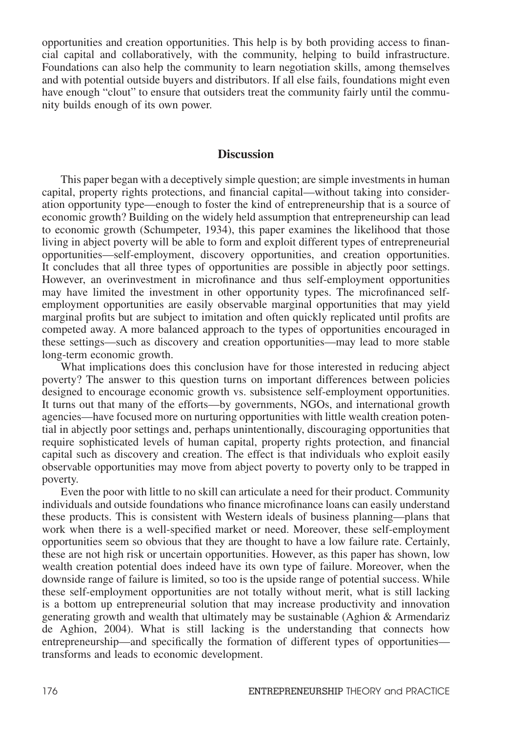opportunities and creation opportunities. This help is by both providing access to financial capital and collaboratively, with the community, helping to build infrastructure. Foundations can also help the community to learn negotiation skills, among themselves and with potential outside buyers and distributors. If all else fails, foundations might even have enough "clout" to ensure that outsiders treat the community fairly until the community builds enough of its own power.

## **Discussion**

This paper began with a deceptively simple question; are simple investments in human capital, property rights protections, and financial capital—without taking into consideration opportunity type—enough to foster the kind of entrepreneurship that is a source of economic growth? Building on the widely held assumption that entrepreneurship can lead to economic growth (Schumpeter, 1934), this paper examines the likelihood that those living in abject poverty will be able to form and exploit different types of entrepreneurial opportunities—self-employment, discovery opportunities, and creation opportunities. It concludes that all three types of opportunities are possible in abjectly poor settings. However, an overinvestment in microfinance and thus self-employment opportunities may have limited the investment in other opportunity types. The microfinanced selfemployment opportunities are easily observable marginal opportunities that may yield marginal profits but are subject to imitation and often quickly replicated until profits are competed away. A more balanced approach to the types of opportunities encouraged in these settings—such as discovery and creation opportunities—may lead to more stable long-term economic growth.

What implications does this conclusion have for those interested in reducing abject poverty? The answer to this question turns on important differences between policies designed to encourage economic growth vs. subsistence self-employment opportunities. It turns out that many of the efforts—by governments, NGOs, and international growth agencies—have focused more on nurturing opportunities with little wealth creation potential in abjectly poor settings and, perhaps unintentionally, discouraging opportunities that require sophisticated levels of human capital, property rights protection, and financial capital such as discovery and creation. The effect is that individuals who exploit easily observable opportunities may move from abject poverty to poverty only to be trapped in poverty.

Even the poor with little to no skill can articulate a need for their product. Community individuals and outside foundations who finance microfinance loans can easily understand these products. This is consistent with Western ideals of business planning—plans that work when there is a well-specified market or need. Moreover, these self-employment opportunities seem so obvious that they are thought to have a low failure rate. Certainly, these are not high risk or uncertain opportunities. However, as this paper has shown, low wealth creation potential does indeed have its own type of failure. Moreover, when the downside range of failure is limited, so too is the upside range of potential success. While these self-employment opportunities are not totally without merit, what is still lacking is a bottom up entrepreneurial solution that may increase productivity and innovation generating growth and wealth that ultimately may be sustainable (Aghion & Armendariz de Aghion, 2004). What is still lacking is the understanding that connects how entrepreneurship—and specifically the formation of different types of opportunities transforms and leads to economic development.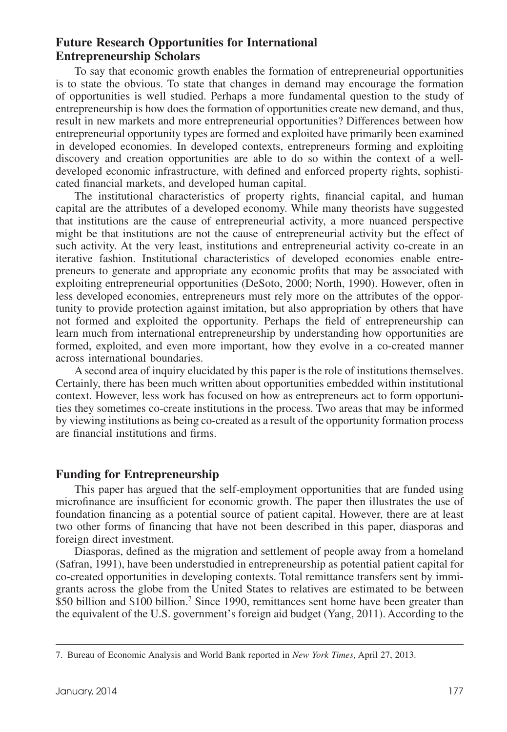# **Future Research Opportunities for International Entrepreneurship Scholars**

To say that economic growth enables the formation of entrepreneurial opportunities is to state the obvious. To state that changes in demand may encourage the formation of opportunities is well studied. Perhaps a more fundamental question to the study of entrepreneurship is how does the formation of opportunities create new demand, and thus, result in new markets and more entrepreneurial opportunities? Differences between how entrepreneurial opportunity types are formed and exploited have primarily been examined in developed economies. In developed contexts, entrepreneurs forming and exploiting discovery and creation opportunities are able to do so within the context of a welldeveloped economic infrastructure, with defined and enforced property rights, sophisticated financial markets, and developed human capital.

The institutional characteristics of property rights, financial capital, and human capital are the attributes of a developed economy. While many theorists have suggested that institutions are the cause of entrepreneurial activity, a more nuanced perspective might be that institutions are not the cause of entrepreneurial activity but the effect of such activity. At the very least, institutions and entrepreneurial activity co-create in an iterative fashion. Institutional characteristics of developed economies enable entrepreneurs to generate and appropriate any economic profits that may be associated with exploiting entrepreneurial opportunities (DeSoto, 2000; North, 1990). However, often in less developed economies, entrepreneurs must rely more on the attributes of the opportunity to provide protection against imitation, but also appropriation by others that have not formed and exploited the opportunity. Perhaps the field of entrepreneurship can learn much from international entrepreneurship by understanding how opportunities are formed, exploited, and even more important, how they evolve in a co-created manner across international boundaries.

A second area of inquiry elucidated by this paper is the role of institutions themselves. Certainly, there has been much written about opportunities embedded within institutional context. However, less work has focused on how as entrepreneurs act to form opportunities they sometimes co-create institutions in the process. Two areas that may be informed by viewing institutions as being co-created as a result of the opportunity formation process are financial institutions and firms.

# **Funding for Entrepreneurship**

This paper has argued that the self-employment opportunities that are funded using microfinance are insufficient for economic growth. The paper then illustrates the use of foundation financing as a potential source of patient capital. However, there are at least two other forms of financing that have not been described in this paper, diasporas and foreign direct investment.

Diasporas, defined as the migration and settlement of people away from a homeland (Safran, 1991), have been understudied in entrepreneurship as potential patient capital for co-created opportunities in developing contexts. Total remittance transfers sent by immigrants across the globe from the United States to relatives are estimated to be between \$50 billion and \$100 billion.<sup>7</sup> Since 1990, remittances sent home have been greater than the equivalent of the U.S. government's foreign aid budget (Yang, 2011). According to the

<sup>7.</sup> Bureau of Economic Analysis and World Bank reported in *New York Times*, April 27, 2013.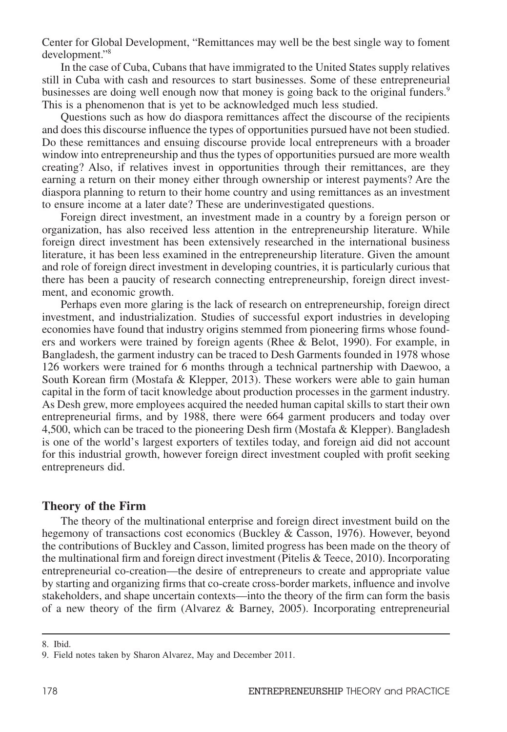Center for Global Development, "Remittances may well be the best single way to foment development."8

In the case of Cuba, Cubans that have immigrated to the United States supply relatives still in Cuba with cash and resources to start businesses. Some of these entrepreneurial businesses are doing well enough now that money is going back to the original funders.<sup>9</sup> This is a phenomenon that is yet to be acknowledged much less studied.

Questions such as how do diaspora remittances affect the discourse of the recipients and does this discourse influence the types of opportunities pursued have not been studied. Do these remittances and ensuing discourse provide local entrepreneurs with a broader window into entrepreneurship and thus the types of opportunities pursued are more wealth creating? Also, if relatives invest in opportunities through their remittances, are they earning a return on their money either through ownership or interest payments? Are the diaspora planning to return to their home country and using remittances as an investment to ensure income at a later date? These are underinvestigated questions.

Foreign direct investment, an investment made in a country by a foreign person or organization, has also received less attention in the entrepreneurship literature. While foreign direct investment has been extensively researched in the international business literature, it has been less examined in the entrepreneurship literature. Given the amount and role of foreign direct investment in developing countries, it is particularly curious that there has been a paucity of research connecting entrepreneurship, foreign direct investment, and economic growth.

Perhaps even more glaring is the lack of research on entrepreneurship, foreign direct investment, and industrialization. Studies of successful export industries in developing economies have found that industry origins stemmed from pioneering firms whose founders and workers were trained by foreign agents (Rhee & Belot, 1990). For example, in Bangladesh, the garment industry can be traced to Desh Garments founded in 1978 whose 126 workers were trained for 6 months through a technical partnership with Daewoo, a South Korean firm (Mostafa & Klepper, 2013). These workers were able to gain human capital in the form of tacit knowledge about production processes in the garment industry. As Desh grew, more employees acquired the needed human capital skills to start their own entrepreneurial firms, and by 1988, there were 664 garment producers and today over 4,500, which can be traced to the pioneering Desh firm (Mostafa & Klepper). Bangladesh is one of the world's largest exporters of textiles today, and foreign aid did not account for this industrial growth, however foreign direct investment coupled with profit seeking entrepreneurs did.

#### **Theory of the Firm**

The theory of the multinational enterprise and foreign direct investment build on the hegemony of transactions cost economics (Buckley & Casson, 1976). However, beyond the contributions of Buckley and Casson, limited progress has been made on the theory of the multinational firm and foreign direct investment (Pitelis & Teece, 2010). Incorporating entrepreneurial co-creation—the desire of entrepreneurs to create and appropriate value by starting and organizing firms that co-create cross-border markets, influence and involve stakeholders, and shape uncertain contexts—into the theory of the firm can form the basis of a new theory of the firm (Alvarez & Barney, 2005). Incorporating entrepreneurial

<sup>8.</sup> Ibid.

<sup>9.</sup> Field notes taken by Sharon Alvarez, May and December 2011.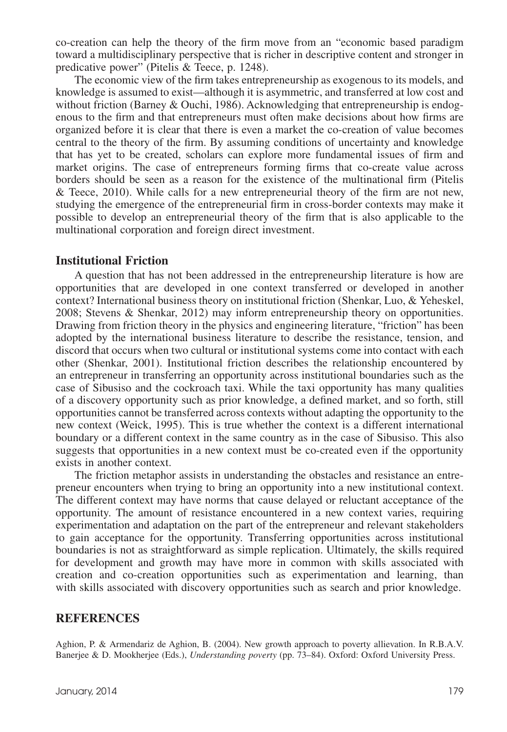co-creation can help the theory of the firm move from an "economic based paradigm toward a multidisciplinary perspective that is richer in descriptive content and stronger in predicative power" (Pitelis & Teece, p. 1248).

The economic view of the firm takes entrepreneurship as exogenous to its models, and knowledge is assumed to exist—although it is asymmetric, and transferred at low cost and without friction (Barney & Ouchi, 1986). Acknowledging that entrepreneurship is endogenous to the firm and that entrepreneurs must often make decisions about how firms are organized before it is clear that there is even a market the co-creation of value becomes central to the theory of the firm. By assuming conditions of uncertainty and knowledge that has yet to be created, scholars can explore more fundamental issues of firm and market origins. The case of entrepreneurs forming firms that co-create value across borders should be seen as a reason for the existence of the multinational firm (Pitelis  $&$  Teece, 2010). While calls for a new entrepreneurial theory of the firm are not new, studying the emergence of the entrepreneurial firm in cross-border contexts may make it possible to develop an entrepreneurial theory of the firm that is also applicable to the multinational corporation and foreign direct investment.

#### **Institutional Friction**

A question that has not been addressed in the entrepreneurship literature is how are opportunities that are developed in one context transferred or developed in another context? International business theory on institutional friction (Shenkar, Luo, & Yeheskel, 2008; Stevens & Shenkar, 2012) may inform entrepreneurship theory on opportunities. Drawing from friction theory in the physics and engineering literature, "friction" has been adopted by the international business literature to describe the resistance, tension, and discord that occurs when two cultural or institutional systems come into contact with each other (Shenkar, 2001). Institutional friction describes the relationship encountered by an entrepreneur in transferring an opportunity across institutional boundaries such as the case of Sibusiso and the cockroach taxi. While the taxi opportunity has many qualities of a discovery opportunity such as prior knowledge, a defined market, and so forth, still opportunities cannot be transferred across contexts without adapting the opportunity to the new context (Weick, 1995). This is true whether the context is a different international boundary or a different context in the same country as in the case of Sibusiso. This also suggests that opportunities in a new context must be co-created even if the opportunity exists in another context.

The friction metaphor assists in understanding the obstacles and resistance an entrepreneur encounters when trying to bring an opportunity into a new institutional context. The different context may have norms that cause delayed or reluctant acceptance of the opportunity. The amount of resistance encountered in a new context varies, requiring experimentation and adaptation on the part of the entrepreneur and relevant stakeholders to gain acceptance for the opportunity. Transferring opportunities across institutional boundaries is not as straightforward as simple replication. Ultimately, the skills required for development and growth may have more in common with skills associated with creation and co-creation opportunities such as experimentation and learning, than with skills associated with discovery opportunities such as search and prior knowledge.

## **REFERENCES**

Aghion, P. & Armendariz de Aghion, B. (2004). New growth approach to poverty allievation. In R.B.A.V. Banerjee & D. Mookherjee (Eds.), *Understanding poverty* (pp. 73–84). Oxford: Oxford University Press.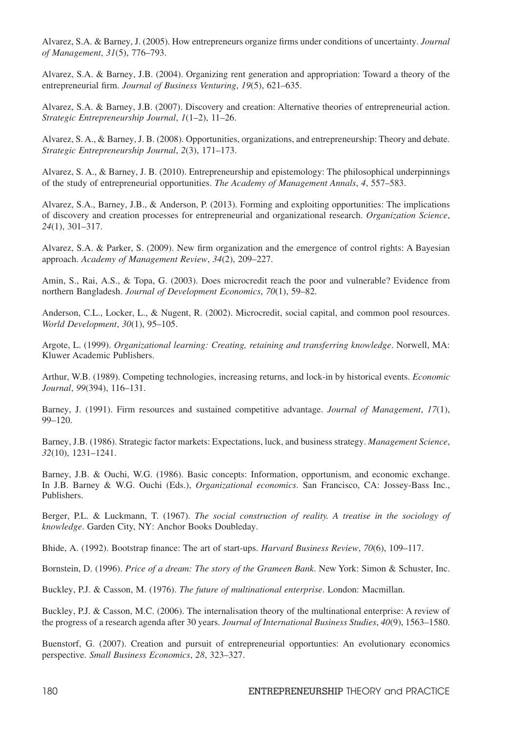Alvarez, S.A. & Barney, J. (2005). How entrepreneurs organize firms under conditions of uncertainty. *Journal of Management*, *31*(5), 776–793.

Alvarez, S.A. & Barney, J.B. (2004). Organizing rent generation and appropriation: Toward a theory of the entrepreneurial firm. *Journal of Business Venturing*, *19*(5), 621–635.

Alvarez, S.A. & Barney, J.B. (2007). Discovery and creation: Alternative theories of entrepreneurial action. *Strategic Entrepreneurship Journal*, *1*(1–2), 11–26.

Alvarez, S. A., & Barney, J. B. (2008). Opportunities, organizations, and entrepreneurship: Theory and debate. *Strategic Entrepreneurship Journal*, *2*(3), 171–173.

Alvarez, S. A., & Barney, J. B. (2010). Entrepreneurship and epistemology: The philosophical underpinnings of the study of entrepreneurial opportunities. *The Academy of Management Annals*, *4*, 557–583.

Alvarez, S.A., Barney, J.B., & Anderson, P. (2013). Forming and exploiting opportunities: The implications of discovery and creation processes for entrepreneurial and organizational research. *Organization Science*, *24*(1), 301–317.

Alvarez, S.A. & Parker, S. (2009). New firm organization and the emergence of control rights: A Bayesian approach. *Academy of Management Review*, *34*(2), 209–227.

Amin, S., Rai, A.S., & Topa, G. (2003). Does microcredit reach the poor and vulnerable? Evidence from northern Bangladesh. *Journal of Development Economics*, *70*(1), 59–82.

Anderson, C.L., Locker, L., & Nugent, R. (2002). Microcredit, social capital, and common pool resources. *World Development*, *30*(1), 95–105.

Argote, L. (1999). *Organizational learning: Creating, retaining and transferring knowledge*. Norwell, MA: Kluwer Academic Publishers.

Arthur, W.B. (1989). Competing technologies, increasing returns, and lock-in by historical events. *Economic Journal*, *99*(394), 116–131.

Barney, J. (1991). Firm resources and sustained competitive advantage. *Journal of Management*, *17*(1), 99–120.

Barney, J.B. (1986). Strategic factor markets: Expectations, luck, and business strategy. *Management Science*, *32*(10), 1231–1241.

Barney, J.B. & Ouchi, W.G. (1986). Basic concepts: Information, opportunism, and economic exchange. In J.B. Barney & W.G. Ouchi (Eds.), *Organizational economics*. San Francisco, CA: Jossey-Bass Inc., Publishers.

Berger, P.L. & Luckmann, T. (1967). *The social construction of reality. A treatise in the sociology of knowledge*. Garden City, NY: Anchor Books Doubleday.

Bhide, A. (1992). Bootstrap finance: The art of start-ups. *Harvard Business Review*, *70*(6), 109–117.

Bornstein, D. (1996). *Price of a dream: The story of the Grameen Bank*. New York: Simon & Schuster, Inc.

Buckley, P.J. & Casson, M. (1976). *The future of multinational enterprise*. London: Macmillan.

Buckley, P.J. & Casson, M.C. (2006). The internalisation theory of the multinational enterprise: A review of the progress of a research agenda after 30 years. *Journal of International Business Studies*, *40*(9), 1563–1580.

Buenstorf, G. (2007). Creation and pursuit of entrepreneurial opportunties: An evolutionary economics perspective. *Small Business Economics*, *28*, 323–327.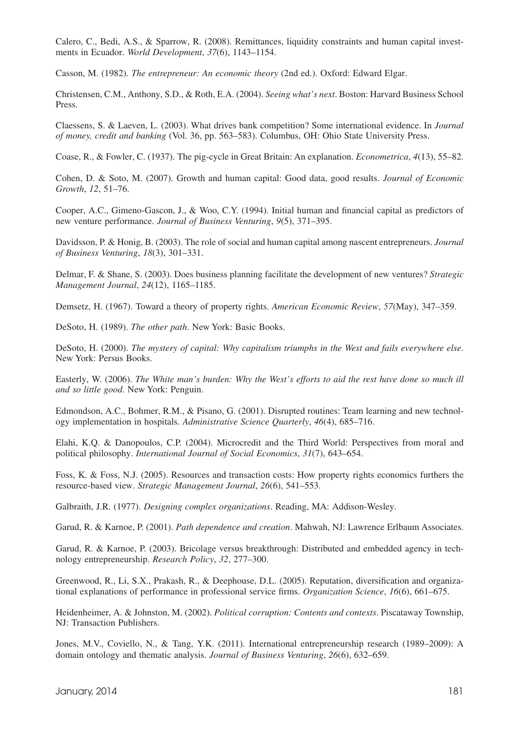Calero, C., Bedi, A.S., & Sparrow, R. (2008). Remittances, liquidity constraints and human capital investments in Ecuador. *World Development*, *37*(6), 1143–1154.

Casson, M. (1982). *The entrepreneur: An economic theory* (2nd ed.). Oxford: Edward Elgar.

Christensen, C.M., Anthony, S.D., & Roth, E.A. (2004). *Seeing what's next*. Boston: Harvard Business School Press.

Claessens, S. & Laeven, L. (2003). What drives bank competition? Some international evidence. In *Journal of money, credit and banking* (Vol. 36, pp. 563–583). Columbus, OH: Ohio State University Press.

Coase, R., & Fowler, C. (1937). The pig-cycle in Great Britain: An explanation. *Econometrica*, *4*(13), 55–82.

Cohen, D. & Soto, M. (2007). Growth and human capital: Good data, good results. *Journal of Economic Growth*, *12*, 51–76.

Cooper, A.C., Gimeno-Gascon, J., & Woo, C.Y. (1994). Initial human and financial capital as predictors of new venture performance. *Journal of Business Venturing*, *9*(5), 371–395.

Davidsson, P. & Honig, B. (2003). The role of social and human capital among nascent entrepreneurs. *Journal of Business Venturing*, *18*(3), 301–331.

Delmar, F. & Shane, S. (2003). Does business planning facilitate the development of new ventures? *Strategic Management Journal*, *24*(12), 1165–1185.

Demsetz, H. (1967). Toward a theory of property rights. *American Economic Review*, *57*(May), 347–359.

DeSoto, H. (1989). *The other path*. New York: Basic Books.

DeSoto, H. (2000). *The mystery of capital: Why capitalism triumphs in the West and fails everywhere else*. New York: Persus Books.

Easterly, W. (2006). *The White man's burden: Why the West's efforts to aid the rest have done so much ill and so little good*. New York: Penguin.

Edmondson, A.C., Bohmer, R.M., & Pisano, G. (2001). Disrupted routines: Team learning and new technology implementation in hospitals. *Administrative Science Quarterly*, *46*(4), 685–716.

Elahi, K.Q. & Danopoulos, C.P. (2004). Microcredit and the Third World: Perspectives from moral and political philosophy. *International Journal of Social Economics*, *31*(7), 643–654.

Foss, K. & Foss, N.J. (2005). Resources and transaction costs: How property rights economics furthers the resource-based view. *Strategic Management Journal*, *26*(6), 541–553.

Galbraith, J.R. (1977). *Designing complex organizations*. Reading, MA: Addison-Wesley.

Garud, R. & Karnoe, P. (2001). *Path dependence and creation*. Mahwah, NJ: Lawrence Erlbaum Associates.

Garud, R. & Karnoe, P. (2003). Bricolage versus breakthrough: Distributed and embedded agency in technology entrepreneurship. *Research Policy*, *32*, 277–300.

Greenwood, R., Li, S.X., Prakash, R., & Deephouse, D.L. (2005). Reputation, diversification and organizational explanations of performance in professional service firms. *Organization Science*, *16*(6), 661–675.

Heidenheimer, A. & Johnston, M. (2002). *Political corruption: Contents and contexts*. Piscataway Township, NJ: Transaction Publishers.

Jones, M.V., Coviello, N., & Tang, Y.K. (2011). International entrepreneurship research (1989–2009): A domain ontology and thematic analysis. *Journal of Business Venturing*, *26*(6), 632–659.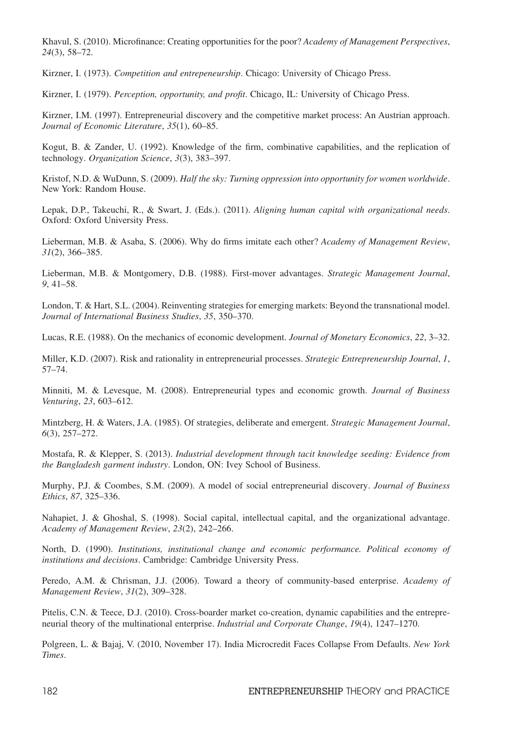Khavul, S. (2010). Microfinance: Creating opportunities for the poor? *Academy of Management Perspectives*, *24*(3), 58–72.

Kirzner, I. (1973). *Competition and entrepeneurship*. Chicago: University of Chicago Press.

Kirzner, I. (1979). *Perception, opportunity, and profit*. Chicago, IL: University of Chicago Press.

Kirzner, I.M. (1997). Entrepreneurial discovery and the competitive market process: An Austrian approach. *Journal of Economic Literature*, *35*(1), 60–85.

Kogut, B. & Zander, U. (1992). Knowledge of the firm, combinative capabilities, and the replication of technology. *Organization Science*, *3*(3), 383–397.

Kristof, N.D. & WuDunn, S. (2009). *Half the sky: Turning oppression into opportunity for women worldwide*. New York: Random House.

Lepak, D.P., Takeuchi, R., & Swart, J. (Eds.). (2011). *Aligning human capital with organizational needs*. Oxford: Oxford University Press.

Lieberman, M.B. & Asaba, S. (2006). Why do firms imitate each other? *Academy of Management Review*, *31*(2), 366–385.

Lieberman, M.B. & Montgomery, D.B. (1988). First-mover advantages. *Strategic Management Journal*, *9*, 41–58.

London, T. & Hart, S.L. (2004). Reinventing strategies for emerging markets: Beyond the transnational model. *Journal of International Business Studies*, *35*, 350–370.

Lucas, R.E. (1988). On the mechanics of economic development. *Journal of Monetary Economics*, *22*, 3–32.

Miller, K.D. (2007). Risk and rationality in entrepreneurial processes. *Strategic Entrepreneurship Journal*, *1*, 57–74.

Minniti, M. & Levesque, M. (2008). Entrepreneurial types and economic growth. *Journal of Business Venturing*, *23*, 603–612.

Mintzberg, H. & Waters, J.A. (1985). Of strategies, deliberate and emergent. *Strategic Management Journal*, *6*(3), 257–272.

Mostafa, R. & Klepper, S. (2013). *Industrial development through tacit knowledge seeding: Evidence from the Bangladesh garment industry*. London, ON: Ivey School of Business.

Murphy, P.J. & Coombes, S.M. (2009). A model of social entrepreneurial discovery. *Journal of Business Ethics*, *87*, 325–336.

Nahapiet, J. & Ghoshal, S. (1998). Social capital, intellectual capital, and the organizational advantage. *Academy of Management Review*, *23*(2), 242–266.

North, D. (1990). *Institutions, institutional change and economic performance. Political economy of institutions and decisions*. Cambridge: Cambridge University Press.

Peredo, A.M. & Chrisman, J.J. (2006). Toward a theory of community-based enterprise. *Academy of Management Review*, *31*(2), 309–328.

Pitelis, C.N. & Teece, D.J. (2010). Cross-boarder market co-creation, dynamic capabilities and the entrepreneurial theory of the multinational enterprise. *Industrial and Corporate Change*, *19*(4), 1247–1270.

Polgreen, L. & Bajaj, V. (2010, November 17). India Microcredit Faces Collapse From Defaults. *New York Times*.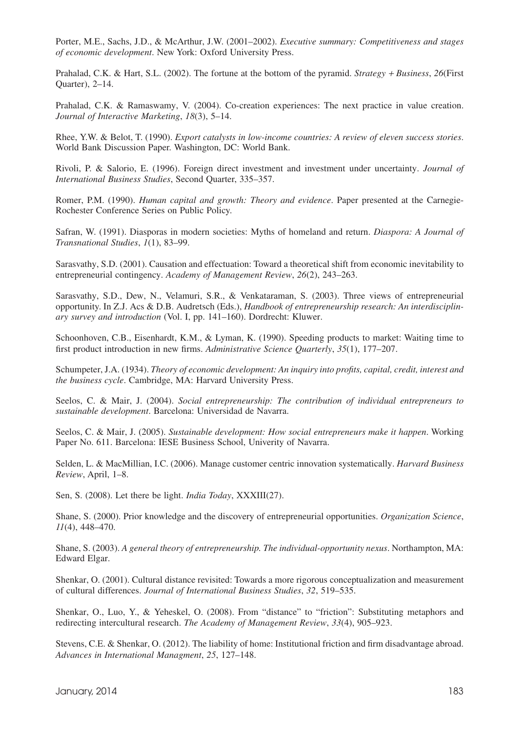Porter, M.E., Sachs, J.D., & McArthur, J.W. (2001–2002). *Executive summary: Competitiveness and stages of economic development*. New York: Oxford University Press.

Prahalad, C.K. & Hart, S.L. (2002). The fortune at the bottom of the pyramid. *Strategy + Business*, *26*(First Quarter), 2–14.

Prahalad, C.K. & Ramaswamy, V. (2004). Co-creation experiences: The next practice in value creation. *Journal of Interactive Marketing*, *18*(3), 5–14.

Rhee, Y.W. & Belot, T. (1990). *Export catalysts in low-income countries: A review of eleven success stories*. World Bank Discussion Paper. Washington, DC: World Bank.

Rivoli, P. & Salorio, E. (1996). Foreign direct investment and investment under uncertainty. *Journal of International Business Studies*, Second Quarter, 335–357.

Romer, P.M. (1990). *Human capital and growth: Theory and evidence*. Paper presented at the Carnegie-Rochester Conference Series on Public Policy.

Safran, W. (1991). Diasporas in modern societies: Myths of homeland and return. *Diaspora: A Journal of Transnational Studies*, *1*(1), 83–99.

Sarasvathy, S.D. (2001). Causation and effectuation: Toward a theoretical shift from economic inevitability to entrepreneurial contingency. *Academy of Management Review*, *26*(2), 243–263.

Sarasvathy, S.D., Dew, N., Velamuri, S.R., & Venkataraman, S. (2003). Three views of entrepreneurial opportunity. In Z.J. Acs & D.B. Audretsch (Eds.), *Handbook of entrepreneurship research: An interdisciplinary survey and introduction* (Vol. I, pp. 141–160). Dordrecht: Kluwer.

Schoonhoven, C.B., Eisenhardt, K.M., & Lyman, K. (1990). Speeding products to market: Waiting time to first product introduction in new firms. *Administrative Science Quarterly*, *35*(1), 177–207.

Schumpeter, J.A. (1934). *Theory of economic development: An inquiry into profits, capital, credit, interest and the business cycle*. Cambridge, MA: Harvard University Press.

Seelos, C. & Mair, J. (2004). *Social entrepreneurship: The contribution of individual entrepreneurs to sustainable development*. Barcelona: Universidad de Navarra.

Seelos, C. & Mair, J. (2005). *Sustainable development: How social entrepreneurs make it happen*. Working Paper No. 611. Barcelona: IESE Business School, Univerity of Navarra.

Selden, L. & MacMillian, I.C. (2006). Manage customer centric innovation systematically. *Harvard Business Review*, April, 1–8.

Sen, S. (2008). Let there be light. *India Today*, XXXIII(27).

Shane, S. (2000). Prior knowledge and the discovery of entrepreneurial opportunities. *Organization Science*, *11*(4), 448–470.

Shane, S. (2003). *A general theory of entrepreneurship. The individual-opportunity nexus*. Northampton, MA: Edward Elgar.

Shenkar, O. (2001). Cultural distance revisited: Towards a more rigorous conceptualization and measurement of cultural differences. *Journal of International Business Studies*, *32*, 519–535.

Shenkar, O., Luo, Y., & Yeheskel, O. (2008). From "distance" to "friction": Substituting metaphors and redirecting intercultural research. *The Academy of Management Review*, *33*(4), 905–923.

Stevens, C.E. & Shenkar, O. (2012). The liability of home: Institutional friction and firm disadvantage abroad. *Advances in International Managment*, *25*, 127–148.